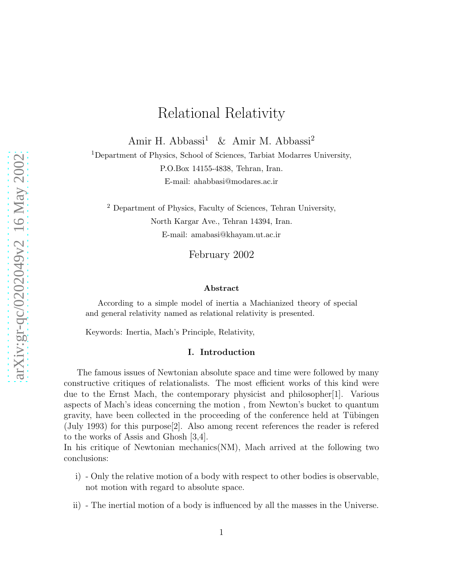# Relational Relativity

Amir H. Abbassi<sup>1</sup> & Amir M. Abbassi<sup>2</sup>

<sup>1</sup>Department of Physics, School of Sciences, Tarbiat Modarres University, P.O.Box 14155-4838, Tehran, Iran. E-mail: ahabbasi@modares.ac.ir

<sup>2</sup> Department of Physics, Faculty of Sciences, Tehran University, North Kargar Ave., Tehran 14394, Iran. E-mail: amabasi@khayam.ut.ac.ir

February 2002

#### Abstract

According to a simple model of inertia a Machianized theory of special and general relativity named as relational relativity is presented.

Keywords: Inertia, Mach's Principle, Relativity,

#### I. Introduction

The famous issues of Newtonian absolute space and time were followed by many constructive critiques of relationalists. The most efficient works of this kind were due to the Ernst Mach, the contemporary physicist and philosopher[1]. Various aspects of Mach's ideas concerning the motion , from Newton's bucket to quantum gravity, have been collected in the proceeding of the conference held at Tübingen (July 1993) for this purpose[2]. Also among recent references the reader is refered to the works of Assis and Ghosh [3,4].

In his critique of Newtonian mechanics(NM), Mach arrived at the following two conclusions:

- i) Only the relative motion of a body with respect to other bodies is observable, not motion with regard to absolute space.
- ii) The inertial motion of a body is influenced by all the masses in the Universe.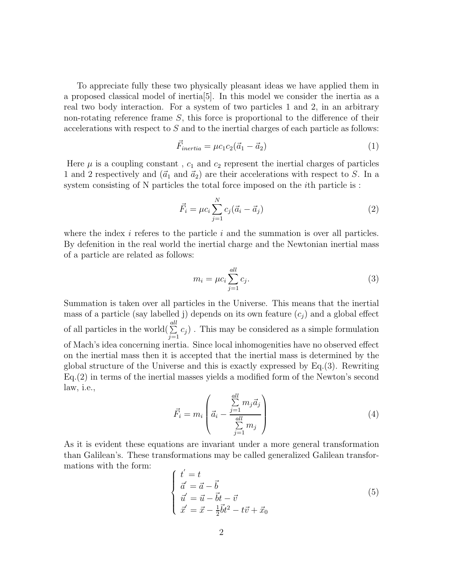To appreciate fully these two physically pleasant ideas we have applied them in a proposed classical model of inertia[5]. In this model we consider the inertia as a real two body interaction. For a system of two particles 1 and 2, in an arbitrary non-rotating reference frame S, this force is proportional to the difference of their accelerations with respect to S and to the inertial charges of each particle as follows:

$$
\vec{F}_{inertia} = \mu c_1 c_2 (\vec{a}_1 - \vec{a}_2) \tag{1}
$$

Here  $\mu$  is a coupling constant,  $c_1$  and  $c_2$  represent the inertial charges of particles 1 and 2 respectively and  $(\vec{a}_1 \text{ and } \vec{a}_2)$  are their accelerations with respect to S. In a system consisting of N particles the total force imposed on the *i*th particle is :

$$
\vec{F}_i = \mu c_i \sum_{j=1}^{N} c_j (\vec{a}_i - \vec{a}_j)
$$
\n(2)

where the index  $i$  referes to the particle  $i$  and the summation is over all particles. By defenition in the real world the inertial charge and the Newtonian inertial mass of a particle are related as follows:

$$
m_i = \mu c_i \sum_{j=1}^{all} c_j.
$$
\n
$$
(3)
$$

Summation is taken over all particles in the Universe. This means that the inertial mass of a particle (say labelled j) depends on its own feature  $(c_i)$  and a global effect of all particles in the world $(\sum^{all}$  $\sum_{j=1} c_j$ ). This may be considered as a simple formulation of Mach's idea concerning inertia. Since local inhomogenities have no observed effect on the inertial mass then it is accepted that the inertial mass is determined by the global structure of the Universe and this is exactly expressed by Eq.(3). Rewriting Eq.(2) in terms of the inertial masses yields a modified form of the Newton's second law, i.e.,

$$
\vec{F}_i = m_i \left( \vec{a}_i - \frac{\sum\limits_{j=1}^{all} m_j \vec{a}_j}{\sum\limits_{j=1}^{all} m_j} \right)
$$
 (4)

As it is evident these equations are invariant under a more general transformation than Galilean's. These transformations may be called generalized Galilean transformations with the form: ′

$$
\begin{cases}\n t' = t \\
\vec{a}' = \vec{a} - \vec{b} \\
\vec{u}' = \vec{u} - \vec{b}t - \vec{v} \\
\vec{x}' = \vec{x} - \frac{1}{2}\vec{b}t^2 - t\vec{v} + \vec{x}_0\n\end{cases}
$$
\n(5)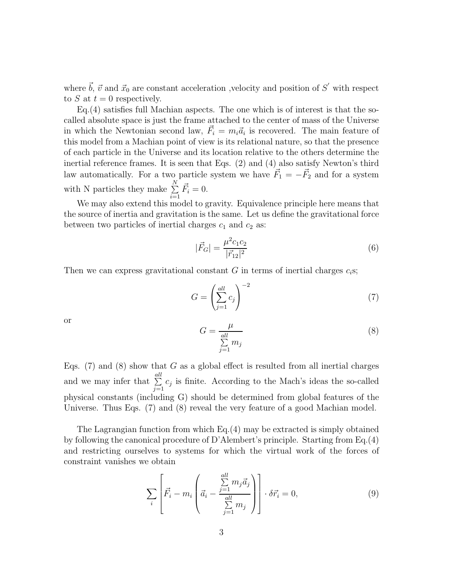where  $\vec{b}$ ,  $\vec{v}$  and  $\vec{x}_0$  are constant acceleration ,velocity and position of S' with respect to S at  $t = 0$  respectively.

Eq.(4) satisfies full Machian aspects. The one which is of interest is that the socalled absolute space is just the frame attached to the center of mass of the Universe in which the Newtonian second law,  $\vec{F}_i = m_i \vec{a}_i$  is recovered. The main feature of this model from a Machian point of view is its relational nature, so that the presence of each particle in the Universe and its location relative to the others determine the inertial reference frames. It is seen that Eqs. (2) and (4) also satisfy Newton's third law automatically. For a two particle system we have  $\vec{F}_1 = -\vec{F}_2$  and for a system with N particles they make  $\sum_{n=1}^{N}$  $i=1$  $\vec{F}_i = 0.$ 

We may also extend this model to gravity. Equivalence principle here means that the source of inertia and gravitation is the same. Let us define the gravitational force between two particles of inertial charges  $c_1$  and  $c_2$  as:

$$
|\vec{F}_G| = \frac{\mu^2 c_1 c_2}{|\vec{r}_{12}|^2} \tag{6}
$$

Then we can express gravitational constant G in terms of inertial charges  $c_i$ s;

$$
G = \left(\sum_{j=1}^{all} c_j\right)^{-2} \tag{7}
$$

or

$$
G = \frac{\mu}{\sum_{j=1}^{all} m_j} \tag{8}
$$

Eqs.  $(7)$  and  $(8)$  show that G as a global effect is resulted from all inertial charges and we may infer that  $\sum_{n=1}^{\text{all}}$  $\sum_{j=1} c_j$  is finite. According to the Mach's ideas the so-called physical constants (including G) should be determined from global features of the Universe. Thus Eqs. (7) and (8) reveal the very feature of a good Machian model.

The Lagrangian function from which Eq.(4) may be extracted is simply obtained by following the canonical procedure of D'Alembert's principle. Starting from Eq.(4) and restricting ourselves to systems for which the virtual work of the forces of constraint vanishes we obtain

$$
\sum_{i} \left[ \vec{F}_i - m_i \left( \vec{a}_i - \frac{\sum_{j=1}^{all} m_j \vec{a}_j}{\sum_{j=1}^{all} m_j} \right) \right] \cdot \delta \vec{r}_i = 0, \tag{9}
$$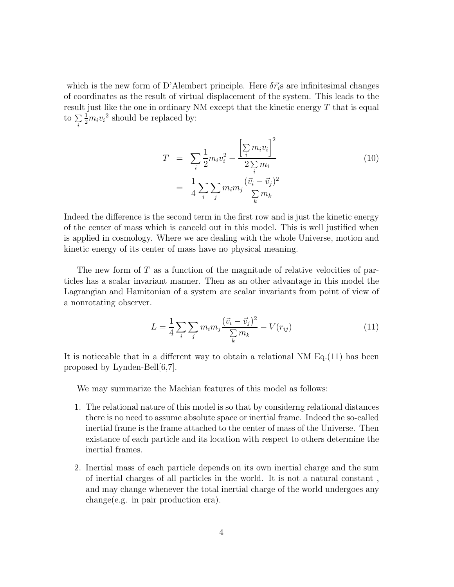which is the new form of D'Alembert principle. Here  $\delta \vec{r}_i$  are infinitesimal changes of coordinates as the result of virtual displacement of the system. This leads to the result just like the one in ordinary NM except that the kinetic energy  $T$  that is equal to  $\sum_{i}$  $\frac{1}{2}m_i v_i^2$  should be replaced by:

$$
T = \sum_{i} \frac{1}{2} m_{i} v_{i}^{2} - \frac{\left[\sum_{i} m_{i} v_{i}\right]^{2}}{2 \sum_{i} m_{i}}
$$
  
= 
$$
\frac{1}{4} \sum_{i} \sum_{j} m_{i} m_{j} \frac{(\vec{v}_{i} - \vec{v}_{j})^{2}}{\sum_{k} m_{k}}
$$
(10)

Indeed the difference is the second term in the first row and is just the kinetic energy of the center of mass which is canceld out in this model. This is well justified when is applied in cosmology. Where we are dealing with the whole Universe, motion and kinetic energy of its center of mass have no physical meaning.

The new form of  $T$  as a function of the magnitude of relative velocities of particles has a scalar invariant manner. Then as an other advantage in this model the Lagrangian and Hamitonian of a system are scalar invariants from point of view of a nonrotating observer.

$$
L = \frac{1}{4} \sum_{i} \sum_{j} m_i m_j \frac{(\vec{v}_i - \vec{v}_j)^2}{\sum_{k} m_k} - V(r_{ij})
$$
\n(11)

It is noticeable that in a different way to obtain a relational NM Eq.(11) has been proposed by Lynden-Bell[6,7].

We may summarize the Machian features of this model as follows:

- 1. The relational nature of this model is so that by considerng relational distances there is no need to assume absolute space or inertial frame. Indeed the so-called inertial frame is the frame attached to the center of mass of the Universe. Then existance of each particle and its location with respect to others determine the inertial frames.
- 2. Inertial mass of each particle depends on its own inertial charge and the sum of inertial charges of all particles in the world. It is not a natural constant , and may change whenever the total inertial charge of the world undergoes any change(e.g. in pair production era).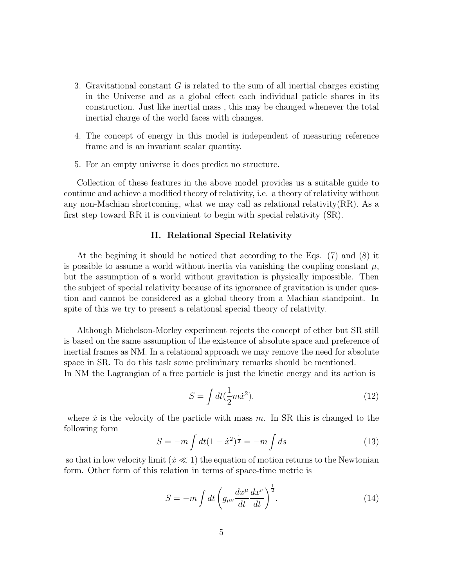- 3. Gravitational constant G is related to the sum of all inertial charges existing in the Universe and as a global effect each individual paticle shares in its construction. Just like inertial mass , this may be changed whenever the total inertial charge of the world faces with changes.
- 4. The concept of energy in this model is independent of measuring reference frame and is an invariant scalar quantity.
- 5. For an empty universe it does predict no structure.

Collection of these features in the above model provides us a suitable guide to continue and achieve a modified theory of relativity, i.e. a theory of relativity without any non-Machian shortcoming, what we may call as relational relativity(RR). As a first step toward RR it is convinient to begin with special relativity (SR).

### II. Relational Special Relativity

At the begining it should be noticed that according to the Eqs. (7) and (8) it is possible to assume a world without inertia via vanishing the coupling constant  $\mu$ , but the assumption of a world without gravitation is physically impossible. Then the subject of special relativity because of its ignorance of gravitation is under question and cannot be considered as a global theory from a Machian standpoint. In spite of this we try to present a relational special theory of relativity.

Although Michelson-Morley experiment rejects the concept of ether but SR still is based on the same assumption of the existence of absolute space and preference of inertial frames as NM. In a relational approach we may remove the need for absolute space in SR. To do this task some preliminary remarks should be mentioned.

In NM the Lagrangian of a free particle is just the kinetic energy and its action is

$$
S = \int dt (\frac{1}{2}m\dot{x}^2). \tag{12}
$$

where  $\dot{x}$  is the velocity of the particle with mass m. In SR this is changed to the following form

$$
S = -m \int dt (1 - \dot{x}^2)^{\frac{1}{2}} = -m \int ds \tag{13}
$$

so that in low velocity limit  $(x \ll 1)$  the equation of motion returns to the Newtonian form. Other form of this relation in terms of space-time metric is

$$
S = -m \int dt \left( g_{\mu\nu} \frac{dx^{\mu}}{dt} \frac{dx^{\nu}}{dt} \right)^{\frac{1}{2}}.
$$
 (14)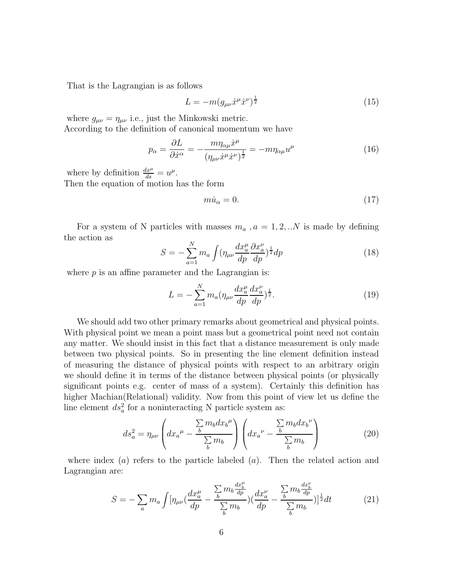That is the Lagrangian is as follows

$$
L = -m(g_{\mu\nu}\dot{x}^{\mu}\dot{x}^{\nu})^{\frac{1}{2}}
$$
\n(15)

where  $g_{\mu\nu} = \eta_{\mu\nu}$  i.e., just the Minkowski metric. According to the definition of canonical momentum we have

$$
p_{\alpha} = \frac{\partial L}{\partial \dot{x}^{\alpha}} = -\frac{m\eta_{\alpha\mu}\dot{x}^{\mu}}{(\eta_{\mu\nu}\dot{x}^{\mu}\dot{x}^{\nu})^{\frac{1}{2}}} = -m\eta_{\alpha\mu}u^{\mu}
$$
(16)

where by definition  $\frac{dx^{\mu}}{ds} = u^{\mu}$ . Then the equation of motion has the form

$$
m\dot{u}_{\alpha} = 0.\t\t(17)
$$

For a system of N particles with masses  $m_a$ ,  $a = 1, 2, ...N$  is made by defining the action as

$$
S = -\sum_{a=1}^{N} m_a \int (\eta_{\mu\nu} \frac{dx_a^{\mu}}{dp} \frac{\partial x_a^{\nu}}{dp})^{\frac{1}{2}} dp \tag{18}
$$

where  $p$  is an affine parameter and the Lagrangian is:

$$
L = -\sum_{a=1}^{N} m_a (\eta_{\mu\nu} \frac{dx_a^{\mu}}{dp} \frac{dx_a^{\nu}}{dp})^{\frac{1}{2}}.
$$
 (19)

We should add two other primary remarks about geometrical and physical points. With physical point we mean a point mass but a geometrical point need not contain any matter. We should insist in this fact that a distance measurement is only made between two physical points. So in presenting the line element definition instead of measuring the distance of physical points with respect to an arbitrary origin we should define it in terms of the distance between physical points (or physically significant points e.g. center of mass of a system). Certainly this definition has higher Machian(Relational) validity. Now from this point of view let us define the line element  $ds_a^2$  for a noninteracting N particle system as:

$$
ds_a^2 = \eta_{\mu\nu} \left( dx_a^{\mu} - \frac{\sum m_b dx_b^{\mu}}{\sum_b m_b} \right) \left( dx_a^{\nu} - \frac{\sum m_b dx_b^{\nu}}{\sum_b m_b} \right) \tag{20}
$$

where index  $(a)$  refers to the particle labeled  $(a)$ . Then the related action and Lagrangian are:

$$
S = -\sum_{a} m_{a} \int [\eta_{\mu\nu} (\frac{dx_{a}^{\mu}}{dp} - \frac{\sum_{b} m_{b} \frac{dx_{b}^{\mu}}{dp})}{\sum_{b} m_{b}}) (\frac{dx_{a}^{\nu}}{dp} - \frac{\sum_{b} m_{b} \frac{dx_{b}^{\nu}}{dp}}{\sum_{b} m_{b}})]^{\frac{1}{2}} dt
$$
(21)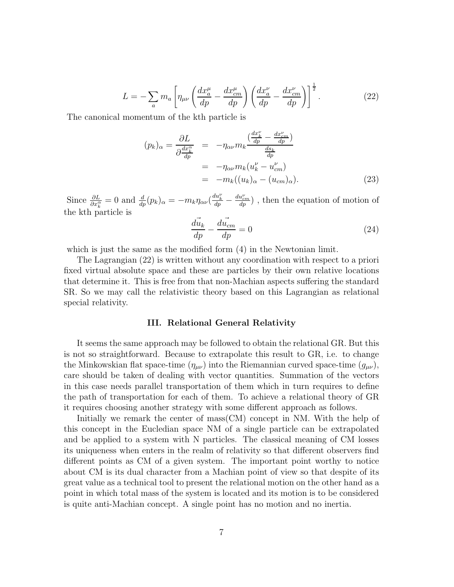$$
L = -\sum_{a} m_a \left[ \eta_{\mu\nu} \left( \frac{dx_a^{\mu}}{dp} - \frac{dx_{cm}^{\mu}}{dp} \right) \left( \frac{dx_a^{\nu}}{dp} - \frac{dx_{cm}^{\nu}}{dp} \right) \right]^{\frac{1}{2}}.
$$
 (22)

The canonical momentum of the kth particle is

$$
(p_k)_{\alpha} = \frac{\partial L}{\partial \frac{dx_k^{\alpha}}{dp}} = -\eta_{\alpha\nu} m_k \frac{\left(\frac{dx_k^{\nu}}{dp} - \frac{dx_{cm}^{\nu}}{dp}\right)}{\frac{ds_k}{dp}}
$$
  

$$
= -\eta_{\alpha\nu} m_k (u_k^{\nu} - u_{cm}^{\nu})
$$
  

$$
= -m_k ((u_k)_{\alpha} - (u_{cm})_{\alpha}).
$$
 (23)

Since  $\frac{\partial L}{\partial x_k^{\alpha}} = 0$  and  $\frac{d}{dp}(p_k)_{\alpha} = -m_k \eta_{\alpha\nu} (\frac{du_k^{\nu}}{dp} - \frac{du_{cm}^{\nu}}{dp})$ , then the equation of motion of the kth particle is

$$
\frac{d\vec{u}_k}{dp} - \frac{d\vec{u}_{cm}}{dp} = 0\tag{24}
$$

which is just the same as the modified form  $(4)$  in the Newtonian limit.

The Lagrangian (22) is written without any coordination with respect to a priori fixed virtual absolute space and these are particles by their own relative locations that determine it. This is free from that non-Machian aspects suffering the standard SR. So we may call the relativistic theory based on this Lagrangian as relational special relativity.

#### III. Relational General Relativity

It seems the same approach may be followed to obtain the relational GR. But this is not so straightforward. Because to extrapolate this result to GR, i.e. to change the Minkowskian flat space-time  $(\eta_{\mu\nu})$  into the Riemannian curved space-time  $(g_{\mu\nu})$ , care should be taken of dealing with vector quantities. Summation of the vectors in this case needs parallel transportation of them which in turn requires to define the path of transportation for each of them. To achieve a relational theory of GR it requires choosing another strategy with some different approach as follows.

Initially we remark the center of mass(CM) concept in NM. With the help of this concept in the Eucledian space NM of a single particle can be extrapolated and be applied to a system with N particles. The classical meaning of CM losses its uniqueness when enters in the realm of relativity so that different observers find different points as CM of a given system. The important point worthy to notice about CM is its dual character from a Machian point of view so that despite of its great value as a technical tool to present the relational motion on the other hand as a point in which total mass of the system is located and its motion is to be considered is quite anti-Machian concept. A single point has no motion and no inertia.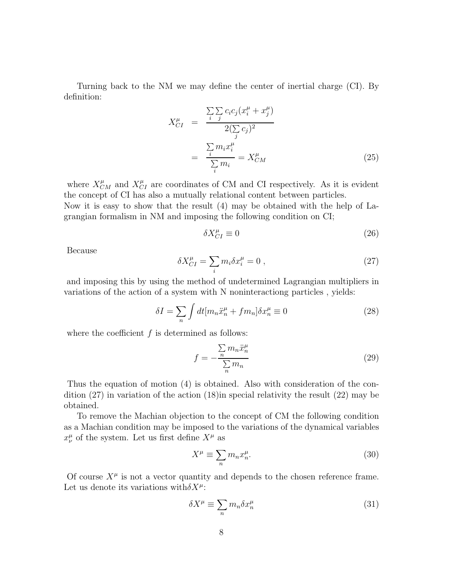Turning back to the NM we may define the center of inertial charge (CI). By definition:

$$
X_{CI}^{\mu} = \frac{\sum_{i} \sum_{j} c_i c_j (x_i^{\mu} + x_j^{\mu})}{2(\sum_{j} c_j)^2}
$$

$$
= \frac{\sum_{i} m_i x_i^{\mu}}{\sum_{i} m_i} = X_{CM}^{\mu}
$$
(25)

where  $X_{CM}^{\mu}$  and  $X_{CI}^{\mu}$  are coordinates of CM and CI respectively. As it is evident the concept of CI has also a mutually relational content between particles. Now it is easy to show that the result (4) may be obtained with the help of Lagrangian formalism in NM and imposing the following condition on CI;

$$
\delta X_{CI}^{\mu} \equiv 0 \tag{26}
$$

Because

$$
\delta X_{CI}^{\mu} = \sum_{i} m_i \delta x_i^{\mu} = 0 , \qquad (27)
$$

and imposing this by using the method of undetermined Lagrangian multipliers in variations of the action of a system with N noninteractiong particles , yields:

$$
\delta I = \sum_{n} \int dt [m_n \ddot{x}_n^{\mu} + fm_n] \delta x_n^{\mu} \equiv 0 \tag{28}
$$

where the coefficient  $f$  is determined as follows:

$$
f = -\frac{\sum_{n} m_n \ddot{x}_n^{\mu}}{\sum_{n} m_n} \tag{29}
$$

Thus the equation of motion (4) is obtained. Also with consideration of the condition (27) in variation of the action (18)in special relativity the result (22) may be obtained.

To remove the Machian objection to the concept of CM the following condition as a Machian condition may be imposed to the variations of the dynamical variables  $x^{\mu}_{\nu}$  of the system. Let us first define  $X^{\mu}$  as

$$
X^{\mu} \equiv \sum_{n} m_{n} x_{n}^{\mu}.
$$
\n(30)

Of course  $X^{\mu}$  is not a vector quantity and depends to the chosen reference frame. Let us denote its variations with  $\delta X^{\mu}$ :

$$
\delta X^{\mu} \equiv \sum_{n} m_{n} \delta x_{n}^{\mu} \tag{31}
$$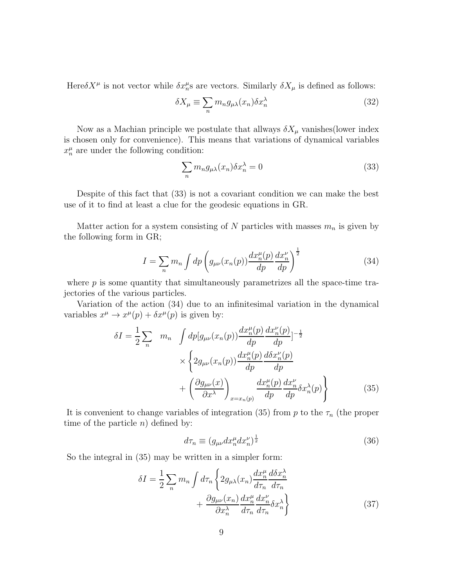Here  $\delta X^{\mu}$  is not vector while  $\delta x^{\mu}_{n}$  are vectors. Similarly  $\delta X_{\mu}$  is defined as follows:

$$
\delta X_{\mu} \equiv \sum_{n} m_{n} g_{\mu\lambda}(x_{n}) \delta x_{n}^{\lambda} \tag{32}
$$

Now as a Machian principle we postulate that allways  $\delta X_\mu$  vanishes(lower index is chosen only for convenience). This means that variations of dynamical variables  $x_n^{\mu}$  are under the following condition:

$$
\sum_{n} m_n g_{\mu\lambda}(x_n) \delta x_n^{\lambda} = 0 \tag{33}
$$

Despite of this fact that (33) is not a covariant condition we can make the best use of it to find at least a clue for the geodesic equations in GR.

Matter action for a system consisting of N particles with masses  $m_n$  is given by the following form in GR;

$$
I = \sum_{n} m_n \int dp \left( g_{\mu\nu}(x_n(p)) \frac{dx_n^{\mu}(p)}{dp} \frac{dx_n^{\nu}}{dp} \right)^{\frac{1}{2}}
$$
(34)

where  $p$  is some quantity that simultaneously parametrizes all the space-time trajectories of the various particles.

Variation of the action (34) due to an infinitesimal variation in the dynamical variables  $x^{\mu} \to x^{\mu}(p) + \delta x^{\mu}(p)$  is given by:

$$
\delta I = \frac{1}{2} \sum_{n} m_{n} \int dp [g_{\mu\nu}(x_{n}(p)) \frac{dx_{n}^{\mu}(p)}{dp} \frac{dx_{n}^{\nu}(p)}{dp}]^{-\frac{1}{2}}
$$

$$
\times \left\{ 2g_{\mu\nu}(x_{n}(p)) \frac{dx_{n}^{\mu}(p)}{dp} \frac{d\delta x_{n}^{\nu}(p)}{dp} + \left( \frac{\partial g_{\mu\nu}(x)}{\partial x^{\lambda}} \right)_{x=x_{n}(p)} \frac{dx_{n}^{\mu}(p)}{dp} \frac{dx_{n}^{\nu}}{dp} \delta x_{n}^{\lambda}(p) \right\}
$$
(35)

It is convenient to change variables of integration (35) from p to the  $\tau_n$  (the proper time of the particle  $n)$  defined by:

$$
d\tau_n \equiv (g_{\mu\nu} dx_n^{\mu} dx_n^{\nu})^{\frac{1}{2}}
$$
\n(36)

So the integral in (35) may be written in a simpler form:

$$
\delta I = \frac{1}{2} \sum_{n} m_{n} \int d\tau_{n} \left\{ 2g_{\mu\lambda}(x_{n}) \frac{dx_{n}^{\mu}}{d\tau_{n}} \frac{d\delta x_{n}^{\lambda}}{d\tau_{n}} + \frac{\partial g_{\mu\nu}(x_{n})}{\partial x_{n}^{\lambda}} \frac{dx_{n}^{\mu}}{d\tau_{n}} \frac{dx_{n}^{\nu}}{d\tau_{n}} \delta x_{n}^{\lambda} \right\}
$$
(37)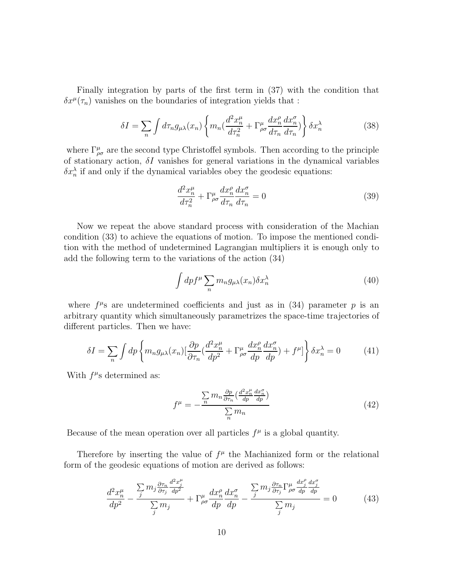Finally integration by parts of the first term in (37) with the condition that  $\delta x^{\mu}(\tau_n)$  vanishes on the boundaries of integration yields that :

$$
\delta I = \sum_{n} \int d\tau_{n} g_{\mu\lambda}(x_{n}) \left\{ m_{n} \left( \frac{d^{2} x_{n}^{\mu}}{d\tau_{n}^{2}} + \Gamma_{\rho\sigma}^{\mu} \frac{dx_{n}^{\rho}}{d\tau_{n}} \frac{dx_{n}^{\sigma}}{d\tau_{n}} \right) \right\} \delta x_{n}^{\lambda} \tag{38}
$$

where  $\Gamma^{\mu}_{\rho\sigma}$  are the second type Christoffel symbols. Then according to the principle of stationary action,  $\delta I$  vanishes for general variations in the dynamical variables  $\delta x_n^{\lambda}$  if and only if the dynamical variables obey the geodesic equations:

$$
\frac{d^2x_n^{\mu}}{d\tau_n^2} + \Gamma^{\mu}_{\rho\sigma} \frac{dx_n^{\rho}}{d\tau_n} \frac{dx_n^{\sigma}}{d\tau_n} = 0
$$
\n(39)

Now we repeat the above standard process with consideration of the Machian condition (33) to achieve the equations of motion. To impose the mentioned condition with the method of undetermined Lagrangian multipliers it is enough only to add the following term to the variations of the action (34)

$$
\int dp f^{\mu} \sum_{n} m_{n} g_{\mu\lambda}(x_{n}) \delta x_{n}^{\lambda} \tag{40}
$$

where  $f^{\mu}$ s are undetermined coefficients and just as in (34) parameter p is an arbitrary quantity which simultaneously parametrizes the space-time trajectories of different particles. Then we have:

$$
\delta I = \sum_{n} \int dp \left\{ m_n g_{\mu\lambda}(x_n) \left[ \frac{\partial p}{\partial \tau_n} \left( \frac{d^2 x_n^{\mu}}{dp^2} + \Gamma^{\mu}_{\rho\sigma} \frac{dx_n^{\sigma}}{dp} \frac{dx_n^{\sigma}}{dp} \right) + f^{\mu} \right] \right\} \delta x_n^{\lambda} = 0 \tag{41}
$$

With  $f^{\mu}$ s determined as:

$$
f^{\mu} = -\frac{\sum_{n} m_{n} \frac{\partial p}{\partial \tau_{n}} \left(\frac{d^{2} x_{n}^{\mu}}{dp} \frac{d x_{n}^{\sigma}}{dp}\right)}{\sum_{n} m_{n}}
$$
(42)

Because of the mean operation over all particles  $f^{\mu}$  is a global quantity.

Therefore by inserting the value of  $f^{\mu}$  the Machianized form or the relational form of the geodesic equations of motion are derived as follows:

$$
\frac{d^2x_j^{\mu}}{dp^2} - \frac{\sum_j m_j \frac{\partial \tau_n}{\partial \tau_j} \frac{d^2x_j^{\mu}}{dp^2}}{\sum_j m_j} + \Gamma^{\mu}_{\rho\sigma} \frac{dx_n^{\rho}}{dp} \frac{dx_n^{\sigma}}{dp} - \frac{\sum_j m_j \frac{\partial \tau_n}{\partial \tau_j} \Gamma^{\mu}_{\rho\sigma} \frac{dx_j^{\rho}}{dp} \frac{dx_j^{\sigma}}{dp}}{\sum_j m_j} = 0 \tag{43}
$$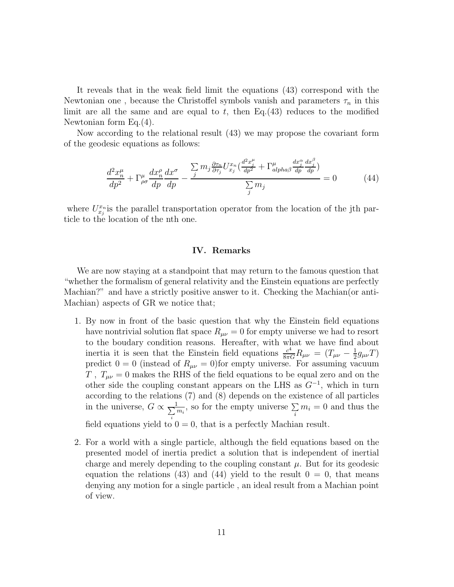It reveals that in the weak field limit the equations (43) correspond with the Newtonian one, because the Christoffel symbols vanish and parameters  $\tau_n$  in this limit are all the same and are equal to  $t$ , then Eq.(43) reduces to the modified Newtonian form Eq.(4).

Now according to the relational result (43) we may propose the covariant form of the geodesic equations as follows:

$$
\frac{d^2x_p^{\mu}}{dp^2} + \Gamma^{\mu}_{\rho\sigma} \frac{dx_p^{\rho}}{dp} \frac{dx^{\sigma}}{dp} - \frac{\sum_j m_j \frac{\partial \tau_n}{\partial \tau_j} U^{x_n}_{x_j} (\frac{d^2x_j^{\mu}}{dp^2} + \Gamma^{\mu}_{\alpha\mu} \frac{dx_j^{\alpha}}{dp} \frac{dx_j^{\beta}}{dp})}{\sum_j m_j} = 0 \tag{44}
$$

where  $U_{x_j}^{x_n}$  is the parallel transportation operator from the location of the jth particle to the location of the nth one.

### IV. Remarks

We are now staying at a standpoint that may return to the famous question that "whether the formalism of general relativity and the Einstein equations are perfectly Machian?" and have a strictly positive answer to it. Checking the Machian(or anti-Machian) aspects of GR we notice that;

- 1. By now in front of the basic question that why the Einstein field equations have nontrivial solution flat space  $R_{\mu\nu} = 0$  for empty universe we had to resort to the boudary condition reasons. Hereafter, with what we have find about inertia it is seen that the Einstein field equations  $\frac{c^4}{8\pi G}R_{\mu\nu} = (T_{\mu\nu} - \frac{1}{2})$  $\frac{1}{2}g_{\mu\nu}T)$ predict  $0 = 0$  (instead of  $R_{\mu\nu} = 0$ ) for empty universe. For assuming vacuum T,  $T_{\mu\nu} = 0$  makes the RHS of the field equations to be equal zero and on the other side the coupling constant appears on the LHS as  $G^{-1}$ , which in turn according to the relations (7) and (8) depends on the existence of all particles in the universe,  $G \propto \frac{1}{\sum_{i=1}^{N}}$ i  $\frac{1}{m_i}$ , so for the empty universe  $\sum_i m_i = 0$  and thus the field equations yield to  $0 = 0$ , that is a perfectly Machian result.
- 2. For a world with a single particle, although the field equations based on the presented model of inertia predict a solution that is independent of inertial charge and merely depending to the coupling constant  $\mu$ . But for its geodesic equation the relations (43) and (44) yield to the result  $0 = 0$ , that means denying any motion for a single particle , an ideal result from a Machian point of view.